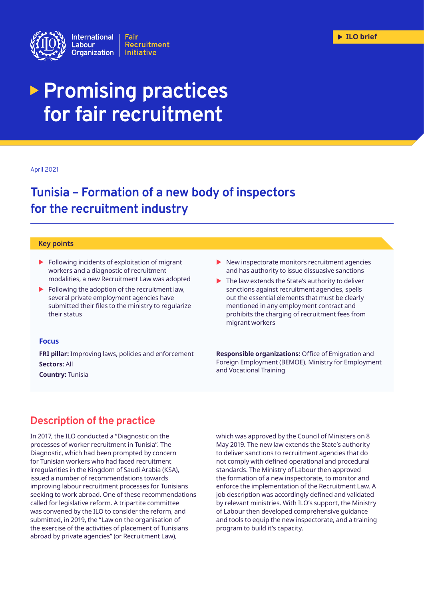

# **Promising practices for fair recruitment**

#### April 2021

# **Tunisia – Formation of a new body of inspectors for the recruitment industry**

#### **Key points**

- $\blacktriangleright$  Following incidents of exploitation of migrant workers and a diagnostic of recruitment modalities, a new Recruitment Law was adopted
- $\blacktriangleright$  Following the adoption of the recruitment law, several private employment agencies have submitted their files to the ministry to regularize their status
- $\blacktriangleright$  New inspectorate monitors recruitment agencies and has authority to issue dissuasive sanctions
- $\blacktriangleright$  The law extends the State's authority to deliver sanctions against recruitment agencies, spells out the essential elements that must be clearly mentioned in any employment contract and prohibits the charging of recruitment fees from migrant workers

#### **Focus**

**FRI pillar:** Improving laws, policies and enforcement **Sectors:** All **Country:** Tunisia

**Responsible organizations:** Office of Emigration and Foreign Employment (BEMOE), Ministry for Employment and Vocational Training

# **Description of the practice**

In 2017, the ILO conducted a "Diagnostic on the processes of worker recruitment in Tunisia". The Diagnostic, which had been prompted by concern for Tunisian workers who had faced recruitment irregularities in the Kingdom of Saudi Arabia (KSA), issued a number of recommendations towards improving labour recruitment processes for Tunisians seeking to work abroad. One of these recommendations called for legislative reform. A tripartite committee was convened by the ILO to consider the reform, and submitted, in 2019, the "Law on the organisation of the exercise of the activities of placement of Tunisians abroad by private agencies" (or Recruitment Law),

which was approved by the Council of Ministers on 8 May 2019. The new law extends the State's authority to deliver sanctions to recruitment agencies that do not comply with defined operational and procedural standards. The Ministry of Labour then approved the formation of a new inspectorate, to monitor and enforce the implementation of the Recruitment Law. A job description was accordingly defined and validated by relevant ministries. With ILO's support, the Ministry of Labour then developed comprehensive guidance and tools to equip the new inspectorate, and a training program to build it's capacity.